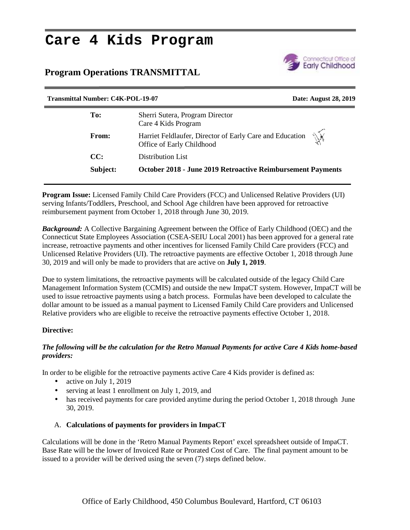# **Care 4 Kids Program**

# **Program Operations TRANSMITTAL**



| <b>Transmittal Number: C4K-POL-19-07</b> | Date: August 28, 2019                                                                       |
|------------------------------------------|---------------------------------------------------------------------------------------------|
| To:                                      | Sherri Sutera, Program Director<br>Care 4 Kids Program                                      |
| <b>From:</b>                             | Ŵ.<br>Harriet Feldlaufer, Director of Early Care and Education<br>Office of Early Childhood |
| CC:                                      | Distribution List                                                                           |
| Subject:                                 | <b>October 2018 - June 2019 Retroactive Reimbursement Payments</b>                          |
|                                          |                                                                                             |

**Program Issue:** Licensed Family Child Care Providers (FCC) and Unlicensed Relative Providers (UI) serving Infants/Toddlers, Preschool, and School Age children have been approved for retroactive reimbursement payment from October 1, 2018 through June 30, 2019.

*Background:* A Collective Bargaining Agreement between the Office of Early Childhood (OEC) and the Connecticut State Employees Association (CSEA-SEIU Local 2001) has been approved for a general rate increase, retroactive payments and other incentives for licensed Family Child Care providers (FCC) and Unlicensed Relative Providers (UI). The retroactive payments are effective October 1, 2018 through June 30, 2019 and will only be made to providers that are active on **July 1, 2019**.

Due to system limitations, the retroactive payments will be calculated outside of the legacy Child Care Management Information System (CCMIS) and outside the new ImpaCT system. However, ImpaCT will be used to issue retroactive payments using a batch process. Formulas have been developed to calculate the dollar amount to be issued as a manual payment to Licensed Family Child Care providers and Unlicensed Relative providers who are eligible to receive the retroactive payments effective October 1, 2018.

## **Directive:**

#### *The following will be the calculation for the Retro Manual Payments for active Care 4 Kids home-based providers:*

In order to be eligible for the retroactive payments active Care 4 Kids provider is defined as:

- active on July 1, 2019
- serving at least 1 enrollment on July 1, 2019, and
- has received payments for care provided anytime during the period October 1, 2018 through June 30, 2019.

## A. **Calculations of payments for providers in ImpaCT**

Calculations will be done in the 'Retro Manual Payments Report' excel spreadsheet outside of ImpaCT. Base Rate will be the lower of Invoiced Rate or Prorated Cost of Care. The final payment amount to be issued to a provider will be derived using the seven (7) steps defined below.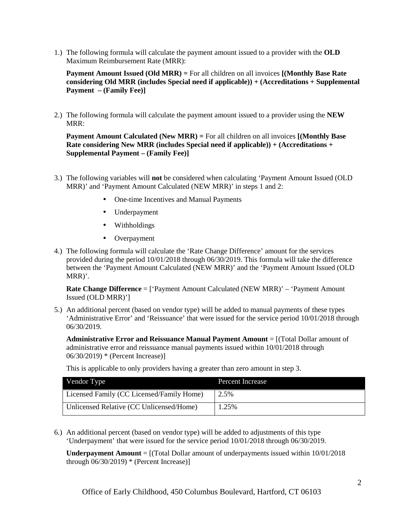1.) The following formula will calculate the payment amount issued to a provider with the **OLD** Maximum Reimbursement Rate (MRR):

**Payment Amount Issued (Old MRR) =** For all children on all invoices **[(Monthly Base Rate considering Old MRR (includes Special need if applicable)) + (Accreditations + Supplemental Payment – (Family Fee)]**

2.) The following formula will calculate the payment amount issued to a provider using the **NEW** MRR:

**Payment Amount Calculated (New MRR) =** For all children on all invoices **[(Monthly Base Rate considering New MRR (includes Special need if applicable)) + (Accreditations + Supplemental Payment – (Family Fee)]**

- 3.) The following variables will **not** be considered when calculating 'Payment Amount Issued (OLD MRR)' and 'Payment Amount Calculated (NEW MRR)' in steps 1 and 2:
	- One-time Incentives and Manual Payments
	- Underpayment
	- Withholdings
	- Overpayment
- 4.) The following formula will calculate the 'Rate Change Difference' amount for the services provided during the period 10/01/2018 through 06/30/2019. This formula will take the difference between the 'Payment Amount Calculated (NEW MRR)' and the 'Payment Amount Issued (OLD MRR)'.

**Rate Change Difference** = ['Payment Amount Calculated (NEW MRR)' – 'Payment Amount Issued (OLD MRR)']

5.) An additional percent (based on vendor type) will be added to manual payments of these types 'Administrative Error' and 'Reissuance' that were issued for the service period 10/01/2018 through 06/30/2019.

**Administrative Error and Reissuance Manual Payment Amount** = [(Total Dollar amount of administrative error and reissuance manual payments issued within 10/01/2018 through 06/30/2019) \* (Percent Increase)]

This is applicable to only providers having a greater than zero amount in step 3.

| Vendor Type                               | Percent Increase |
|-------------------------------------------|------------------|
| Licensed Family (CC Licensed/Family Home) | 2.5%             |
| Unlicensed Relative (CC Unlicensed/Home)  | 1.25%            |

6.) An additional percent (based on vendor type) will be added to adjustments of this type 'Underpayment' that were issued for the service period 10/01/2018 through 06/30/2019.

**Underpayment Amount** = [(Total Dollar amount of underpayments issued within 10/01/2018 through  $06/30/2019$  \* (Percent Increase)]